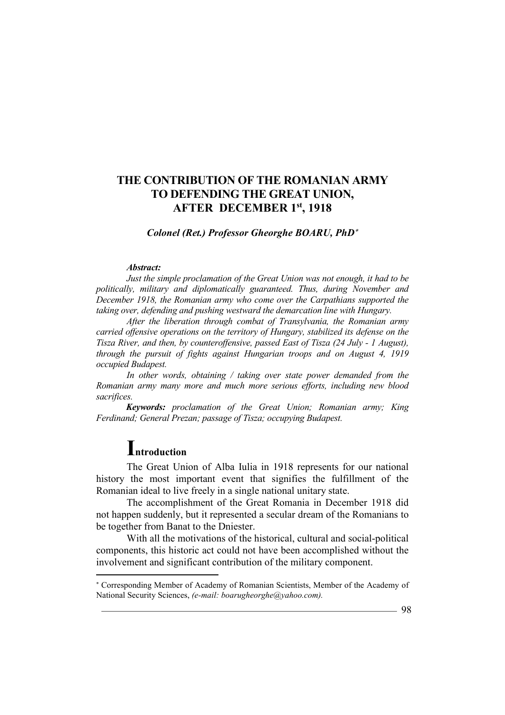### *Colonel (Ret.) Professor Gheorghe BOARU, PhD*

#### *Abstract:*

*Just the simple proclamation of the Great Union was not enough, it had to be politically, military and diplomatically guaranteed. Thus, during November and December 1918, the Romanian army who come over the Carpathians supported the taking over, defending and pushing westward the demarcation line with Hungary.* 

*After the liberation through combat of Transylvania, the Romanian army carried offensive operations on the territory of Hungary, stabilized its defense on the Tisza River, and then, by counteroffensive, passed East of Tisza (24 July - 1 August), through the pursuit of fights against Hungarian troops and on August 4, 1919 occupied Budapest.* 

*In other words, obtaining / taking over state power demanded from the Romanian army many more and much more serious efforts, including new blood sacrifices.* 

*Keywords: proclamation of the Great Union; Romanian army; King Ferdinand; General Prezan; passage of Tisza; occupying Budapest.*

# **Introduction**

 $\overline{a}$ 

The Great Union of Alba Iulia in 1918 represents for our national history the most important event that signifies the fulfillment of the Romanian ideal to live freely in a single national unitary state.

The accomplishment of the Great Romania in December 1918 did not happen suddenly, but it represented a secular dream of the Romanians to be together from Banat to the Dniester.

With all the motivations of the historical, cultural and social-political components, this historic act could not have been accomplished without the involvement and significant contribution of the military component.

 Corresponding Member of Academy of Romanian Scientists, Member of the Academy of National Security Sciences, *(e-mail: boarugheorghe@yahoo.com).*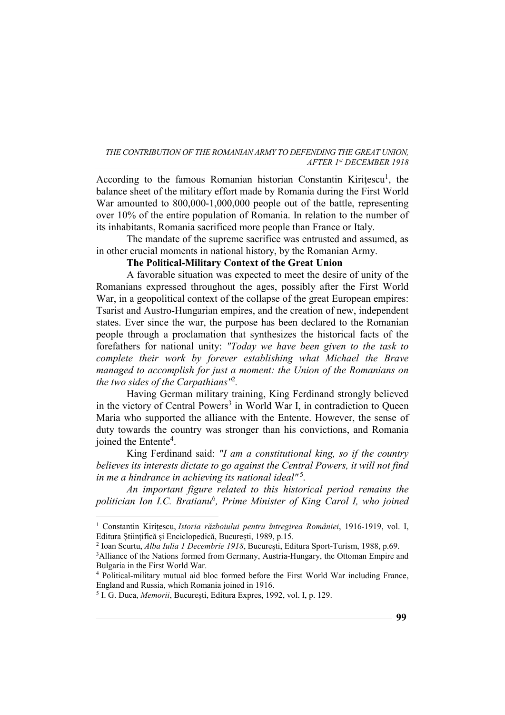According to the famous Romanian historian Constantin Kirițescu<sup>1</sup>, the balance sheet of the military effort made by Romania during the First World War amounted to 800,000-1,000,000 people out of the battle, representing over 10% of the entire population of Romania. In relation to the number of its inhabitants, Romania sacrificed more people than France or Italy.

The mandate of the supreme sacrifice was entrusted and assumed, as in other crucial moments in national history, by the Romanian Army.

# **The Political-Military Context of the Great Union**

A favorable situation was expected to meet the desire of unity of the Romanians expressed throughout the ages, possibly after the First World War, in a geopolitical context of the collapse of the great European empires: Tsarist and Austro-Hungarian empires, and the creation of new, independent states. Ever since the war, the purpose has been declared to the Romanian people through a proclamation that synthesizes the historical facts of the forefathers for national unity: *"Today we have been given to the task to complete their work by forever establishing what Michael the Brave managed to accomplish for just a moment: the Union of the Romanians on the two sides of the Carpathians"*<sup>2</sup> *.* 

Having German military training, King Ferdinand strongly believed in the victory of Central Powers<sup>3</sup> in World War I, in contradiction to Queen Maria who supported the alliance with the Entente. However, the sense of duty towards the country was stronger than his convictions, and Romania joined the Entente<sup>4</sup>.

King Ferdinand said: *"I am a constitutional king, so if the country believes its interests dictate to go against the Central Powers, it will not find in me a hindrance in achieving its national ideal"*<sup>5</sup> *.* 

*An important figure related to this historical period remains the politician Ion I.C. Bratianu*<sup>6</sup> *, Prime Minister of King Carol I, who joined* 

<sup>1</sup> Constantin Kirițescu, *Istoria războiului pentru întregirea României*, 1916-1919, vol. I, Editura Științifică și Enciclopedică, București, 1989, p.15.

<sup>2</sup> Ioan Scurtu, *Alba Iulia 1 Decembrie 1918*, Bucureşti, Editura Sport-Turism, 1988, p.69.

<sup>&</sup>lt;sup>3</sup>Alliance of the Nations formed from Germany, Austria-Hungary, the Ottoman Empire and Bulgaria in the First World War.

<sup>&</sup>lt;sup>4</sup> Political-military mutual aid bloc formed before the First World War including France, England and Russia, which Romania joined in 1916.

<sup>5</sup> I. G. Duca, *Memorii*, Bucureşti, Editura Expres, 1992, vol. I, p. 129.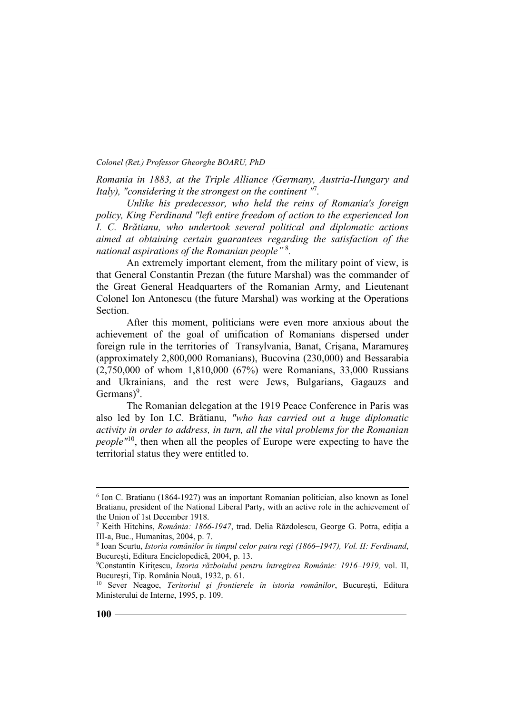*Romania in 1883, at the Triple Alliance (Germany, Austria-Hungary and Italy), "considering it the strongest on the continent "*<sup>7</sup> *.* 

*Unlike his predecessor, who held the reins of Romania's foreign policy, King Ferdinand "left entire freedom of action to the experienced Ion I. C. Brătianu, who undertook several political and diplomatic actions aimed at obtaining certain guarantees regarding the satisfaction of the national aspirations of the Romanian people"*<sup>8</sup> *.* 

An extremely important element, from the military point of view, is that General Constantin Prezan (the future Marshal) was the commander of the Great General Headquarters of the Romanian Army, and Lieutenant Colonel Ion Antonescu (the future Marshal) was working at the Operations Section.

After this moment, politicians were even more anxious about the achievement of the goal of unification of Romanians dispersed under foreign rule in the territories of Transylvania, Banat, Crişana, Maramureş (approximately 2,800,000 Romanians), Bucovina (230,000) and Bessarabia (2,750,000 of whom 1,810,000 (67%) were Romanians, 33,000 Russians and Ukrainians, and the rest were Jews, Bulgarians, Gagauzs and Germans $)^9$ .

The Romanian delegation at the 1919 Peace Conference in Paris was also led by Ion I.C. Brătianu, *"who has carried out a huge diplomatic activity in order to address, in turn, all the vital problems for the Romanian people*<sup> $n10$ </sup>, then when all the peoples of Europe were expecting to have the territorial status they were entitled to.

<sup>&</sup>lt;sup>6</sup> Ion C. Bratianu (1864-1927) was an important Romanian politician, also known as Ionel Bratianu, president of the National Liberal Party, with an active role in the achievement of the Union of 1st December 1918.

<sup>7</sup> Keith Hitchins, *România: 1866-1947*, trad. Delia Răzdolescu, George G. Potra, ediţia a III-a, Buc., Humanitas, 2004, p. 7.

<sup>8</sup> Ioan Scurtu, *Istoria românilor în timpul celor patru regi (1866–1947), Vol. II: Ferdinand*, Bucureşti, Editura Enciclopedică, 2004, p. 13.

<sup>9</sup>Constantin Kiriţescu, *Istoria războiului pentru întregirea Românie: 1916–1919,* vol. II, Bucureşti, Tip. România Nouă, 1932, p. 61.

<sup>10</sup> Sever Neagoe, *Teritoriul şi frontierele în istoria românilor*, Bucureşti, Editura Ministerului de Interne, 1995, p. 109.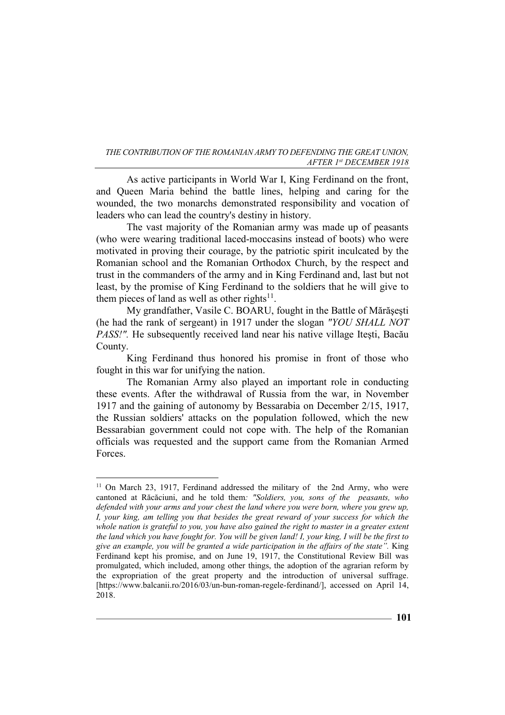As active participants in World War I, King Ferdinand on the front, and Queen Maria behind the battle lines, helping and caring for the wounded, the two monarchs demonstrated responsibility and vocation of leaders who can lead the country's destiny in history.

The vast majority of the Romanian army was made up of peasants (who were wearing traditional laced-moccasins instead of boots) who were motivated in proving their courage, by the patriotic spirit inculcated by the Romanian school and the Romanian Orthodox Church, by the respect and trust in the commanders of the army and in King Ferdinand and, last but not least, by the promise of King Ferdinand to the soldiers that he will give to them pieces of land as well as other rights $11$ .

My grandfather, Vasile C. BOARU, fought in the Battle of Mărăşeşti (he had the rank of sergeant) in 1917 under the slogan *"YOU SHALL NOT PASS!".* He subsequently received land near his native village Iteşti, Bacău County.

King Ferdinand thus honored his promise in front of those who fought in this war for unifying the nation.

The Romanian Army also played an important role in conducting these events. After the withdrawal of Russia from the war, in November 1917 and the gaining of autonomy by Bessarabia on December 2/15, 1917, the Russian soldiers' attacks on the population followed, which the new Bessarabian government could not cope with. The help of the Romanian officials was requested and the support came from the Romanian Armed Forces.

<sup>&</sup>lt;sup>11</sup> On March 23, 1917, Ferdinand addressed the military of the 2nd Army, who were cantoned at Răcăciuni, and he told them*: "Soldiers, you, sons of the peasants, who defended with your arms and your chest the land where you were born, where you grew up, I, your king, am telling you that besides the great reward of your success for which the whole nation is grateful to you, you have also gained the right to master in a greater extent the land which you have fought for. You will be given land! I, your king, I will be the first to give an example, you will be granted a wide participation in the affairs of the state".* King Ferdinand kept his promise, and on June 19, 1917, the Constitutional Review Bill was promulgated, which included, among other things, the adoption of the agrarian reform by the expropriation of the great property and the introduction of universal suffrage. [https://www.balcanii.ro/2016/03/un-bun-roman-regele-ferdinand/], accessed on April 14, 2018.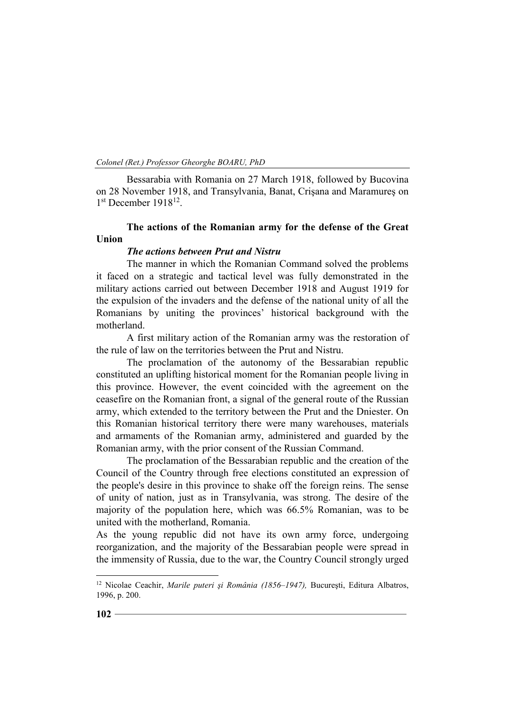Bessarabia with Romania on 27 March 1918, followed by Bucovina on 28 November 1918, and Transylvania, Banat, Crişana and Maramureş on 1<sup>st</sup> December 1918<sup>12</sup>.

# **The actions of the Romanian army for the defense of the Great Union**

#### *The actions between Prut and Nistru*

The manner in which the Romanian Command solved the problems it faced on a strategic and tactical level was fully demonstrated in the military actions carried out between December 1918 and August 1919 for the expulsion of the invaders and the defense of the national unity of all the Romanians by uniting the provinces' historical background with the motherland.

A first military action of the Romanian army was the restoration of the rule of law on the territories between the Prut and Nistru.

The proclamation of the autonomy of the Bessarabian republic constituted an uplifting historical moment for the Romanian people living in this province. However, the event coincided with the agreement on the ceasefire on the Romanian front, a signal of the general route of the Russian army, which extended to the territory between the Prut and the Dniester. On this Romanian historical territory there were many warehouses, materials and armaments of the Romanian army, administered and guarded by the Romanian army, with the prior consent of the Russian Command.

The proclamation of the Bessarabian republic and the creation of the Council of the Country through free elections constituted an expression of the people's desire in this province to shake off the foreign reins. The sense of unity of nation, just as in Transylvania, was strong. The desire of the majority of the population here, which was 66.5% Romanian, was to be united with the motherland, Romania.

As the young republic did not have its own army force, undergoing reorganization, and the majority of the Bessarabian people were spread in the immensity of Russia, due to the war, the Country Council strongly urged

<sup>12</sup> Nicolae Ceachir, *Marile puteri şi România (1856–1947),* Bucureşti, Editura Albatros, 1996, p. 200.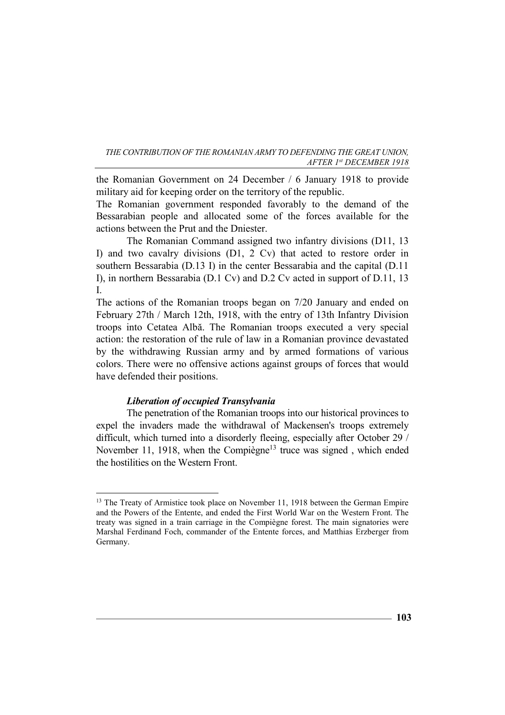the Romanian Government on 24 December / 6 January 1918 to provide military aid for keeping order on the territory of the republic.

The Romanian government responded favorably to the demand of the Bessarabian people and allocated some of the forces available for the actions between the Prut and the Dniester.

The Romanian Command assigned two infantry divisions (D11, 13 I) and two cavalry divisions (D1, 2 Cv) that acted to restore order in southern Bessarabia (D.13 I) in the center Bessarabia and the capital (D.11 I), in northern Bessarabia (D.1 Cv) and D.2 Cv acted in support of D.11, 13 I.

The actions of the Romanian troops began on 7/20 January and ended on February 27th / March 12th, 1918, with the entry of 13th Infantry Division troops into Cetatea Albă. The Romanian troops executed a very special action: the restoration of the rule of law in a Romanian province devastated by the withdrawing Russian army and by armed formations of various colors. There were no offensive actions against groups of forces that would have defended their positions.

## *Liberation of occupied Transylvania*

 $\overline{a}$ 

The penetration of the Romanian troops into our historical provinces to expel the invaders made the withdrawal of Mackensen's troops extremely difficult, which turned into a disorderly fleeing, especially after October 29 / November 11, 1918, when the Compiègne<sup>13</sup> truce was signed, which ended the hostilities on the Western Front.

**103**

<sup>&</sup>lt;sup>13</sup> The Treaty of Armistice took place on November 11, 1918 between the German Empire and the Powers of the Entente, and ended the First World War on the Western Front. The treaty was signed in a train carriage in the Compiègne forest. The main signatories were Marshal Ferdinand Foch, commander of the Entente forces, and Matthias Erzberger from Germany.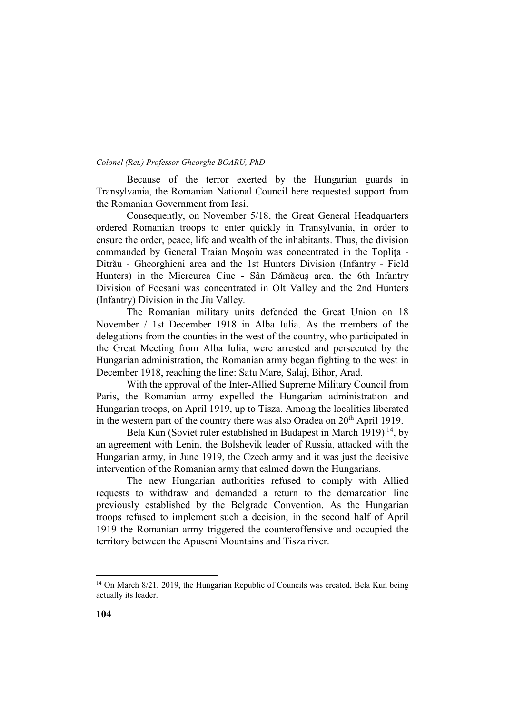Because of the terror exerted by the Hungarian guards in Transylvania, the Romanian National Council here requested support from the Romanian Government from Iasi.

Consequently, on November 5/18, the Great General Headquarters ordered Romanian troops to enter quickly in Transylvania, in order to ensure the order, peace, life and wealth of the inhabitants. Thus, the division commanded by General Traian Mosoiu was concentrated in the Toplita -Ditrău - Gheorghieni area and the 1st Hunters Division (Infantry - Field Hunters) in the Miercurea Ciuc - Sân Dămăcuş area. the 6th Infantry Division of Focsani was concentrated in Olt Valley and the 2nd Hunters (Infantry) Division in the Jiu Valley.

The Romanian military units defended the Great Union on 18 November / 1st December 1918 in Alba Iulia. As the members of the delegations from the counties in the west of the country, who participated in the Great Meeting from Alba Iulia, were arrested and persecuted by the Hungarian administration, the Romanian army began fighting to the west in December 1918, reaching the line: Satu Mare, Salaj, Bihor, Arad.

With the approval of the Inter-Allied Supreme Military Council from Paris, the Romanian army expelled the Hungarian administration and Hungarian troops, on April 1919, up to Tisza. Among the localities liberated in the western part of the country there was also Oradea on 20<sup>th</sup> April 1919.

Bela Kun (Soviet ruler established in Budapest in March 1919)<sup>14</sup>, by an agreement with Lenin, the Bolshevik leader of Russia, attacked with the Hungarian army, in June 1919, the Czech army and it was just the decisive intervention of the Romanian army that calmed down the Hungarians.

The new Hungarian authorities refused to comply with Allied requests to withdraw and demanded a return to the demarcation line previously established by the Belgrade Convention. As the Hungarian troops refused to implement such a decision, in the second half of April 1919 the Romanian army triggered the counteroffensive and occupied the territory between the Apuseni Mountains and Tisza river.

<sup>&</sup>lt;sup>14</sup> On March 8/21, 2019, the Hungarian Republic of Councils was created, Bela Kun being actually its leader.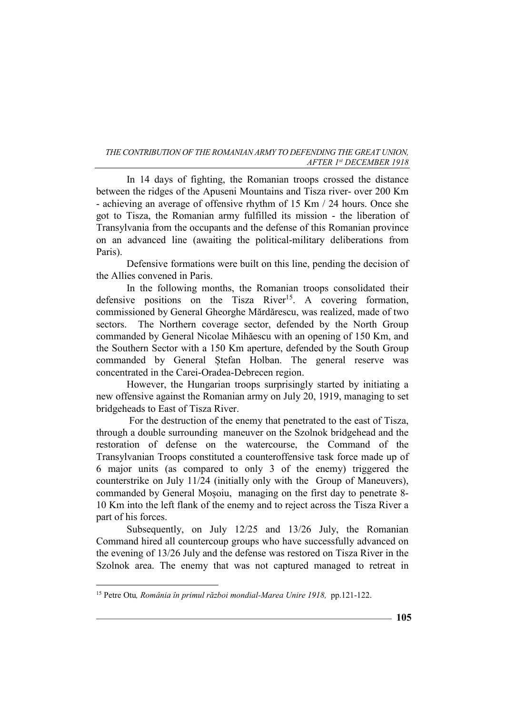In 14 days of fighting, the Romanian troops crossed the distance between the ridges of the Apuseni Mountains and Tisza river- over 200 Km - achieving an average of offensive rhythm of 15 Km / 24 hours. Once she got to Tisza, the Romanian army fulfilled its mission - the liberation of Transylvania from the occupants and the defense of this Romanian province on an advanced line (awaiting the political-military deliberations from Paris).

Defensive formations were built on this line, pending the decision of the Allies convened in Paris.

In the following months, the Romanian troops consolidated their defensive positions on the Tisza River<sup>15</sup>. A covering formation, commissioned by General Gheorghe Mărdărescu, was realized, made of two sectors. The Northern coverage sector, defended by the North Group commanded by General Nicolae Mihăescu with an opening of 150 Km, and the Southern Sector with a 150 Km aperture, defended by the South Group commanded by General Ștefan Holban. The general reserve was concentrated in the Carei-Oradea-Debrecen region.

However, the Hungarian troops surprisingly started by initiating a new offensive against the Romanian army on July 20, 1919, managing to set bridgeheads to East of Tisza River.

 For the destruction of the enemy that penetrated to the east of Tisza, through a double surrounding maneuver on the Szolnok bridgehead and the restoration of defense on the watercourse, the Command of the Transylvanian Troops constituted a counteroffensive task force made up of 6 major units (as compared to only 3 of the enemy) triggered the counterstrike on July 11/24 (initially only with the Group of Maneuvers), commanded by General Moșoiu, managing on the first day to penetrate 8- 10 Km into the left flank of the enemy and to reject across the Tisza River a part of his forces.

Subsequently, on July 12/25 and 13/26 July, the Romanian Command hired all countercoup groups who have successfully advanced on the evening of 13/26 July and the defense was restored on Tisza River in the Szolnok area. The enemy that was not captured managed to retreat in

<sup>&</sup>lt;sup>15</sup> Petre Otu, România în primul război mondial-Marea Unire 1918, pp.121-122.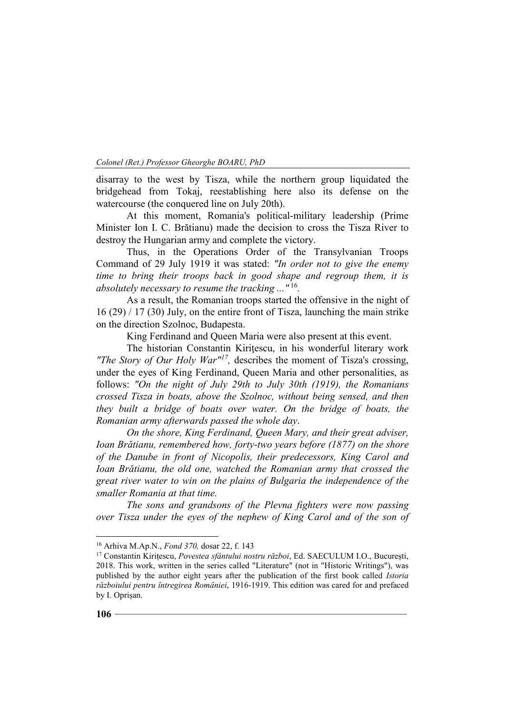disarray to the west by Tisza, while the northern group liquidated the bridgehead from Tokaj, reestablishing here also its defense on the watercourse (the conquered line on July 20th).

At this moment, Romania's political-military leadership (Prime Minister Ion I. C. Brătianu) made the decision to cross the Tisza River to destroy the Hungarian army and complete the victory.

Thus, in the Operations Order of the Transylvanian Troops Command of 29 July 1919 it was stated: *"In order not to give the enemy time to bring their troops back in good shape and regroup them, it is absolutely necessary to resume the tracking ..."*<sup>16</sup> *.* 

As a result, the Romanian troops started the offensive in the night of 16 (29) / 17 (30) July, on the entire front of Tisza, launching the main strike on the direction Szolnoc, Budapesta.

King Ferdinand and Queen Maria were also present at this event.

The historian Constantin Kiritescu, in his wonderful literary work *"The Story of Our Holy War"<sup>17</sup> ,* describes the moment of Tisza's crossing, under the eyes of King Ferdinand, Queen Maria and other personalities, as follows: *"On the night of July 29th to July 30th (1919), the Romanians crossed Tisza in boats, above the Szolnoc, without being sensed, and then they built a bridge of boats over water. On the bridge of boats, the Romanian army afterwards passed the whole day*.

*On the shore, King Ferdinand, Queen Mary, and their great adviser, Ioan Brătianu, remembered how, forty-two years before (1877) on the shore of the Danube in front of Nicopolis, their predecessors, King Carol and Ioan Brătianu, the old one, watched the Romanian army that crossed the great river water to win on the plains of Bulgaria the independence of the smaller Romania at that time.*

*The sons and grandsons of the Plevna fighters were now passing over Tisza under the eyes of the nephew of King Carol and of the son of* 

<sup>16</sup> Arhiva M.Ap.N., *Fond 370,* dosar 22, f. 143

<sup>17</sup> Constantin Kirițescu, *Povestea sfântului nostru război*, Ed. SAECULUM I.O., București, 2018. This work, written in the series called "Literature" (not in "Historic Writings"), was published by the author eight years after the publication of the first book called *Istoria războiului pentru întregirea României*, 1916-1919. This edition was cared for and prefaced by I. Oprișan.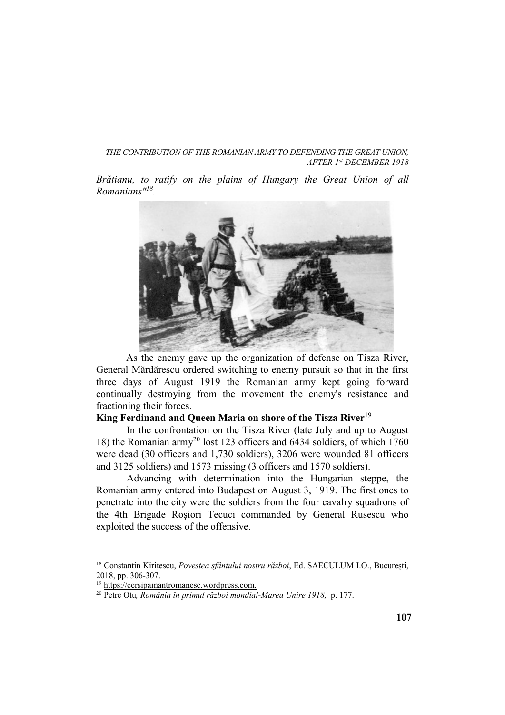*Brătianu, to ratify on the plains of Hungary the Great Union of all Romanians"<sup>18</sup> .*



As the enemy gave up the organization of defense on Tisza River, General Mărdărescu ordered switching to enemy pursuit so that in the first three days of August 1919 the Romanian army kept going forward continually destroying from the movement the enemy's resistance and fractioning their forces.

# **King Ferdinand and Queen Maria on shore of the Tisza River**<sup>19</sup>

In the confrontation on the Tisza River (late July and up to August 18) the Romanian army<sup>20</sup> lost 123 officers and 6434 soldiers, of which 1760 were dead (30 officers and 1,730 soldiers), 3206 were wounded 81 officers and 3125 soldiers) and 1573 missing (3 officers and 1570 soldiers).

Advancing with determination into the Hungarian steppe, the Romanian army entered into Budapest on August 3, 1919. The first ones to penetrate into the city were the soldiers from the four cavalry squadrons of the 4th Brigade Roşiori Tecuci commanded by General Rusescu who exploited the success of the offensive.

<sup>18</sup> Constantin Kirițescu, *Povestea sfântului nostru război*, Ed. SAECULUM I.O., București, 2018, pp. 306-307.

<sup>&</sup>lt;sup>19</sup> https://cersipamantromanesc.wordpress.com.

<sup>20</sup> Petre Otu*, România în primul război mondial-Marea Unire 1918,* p. 177.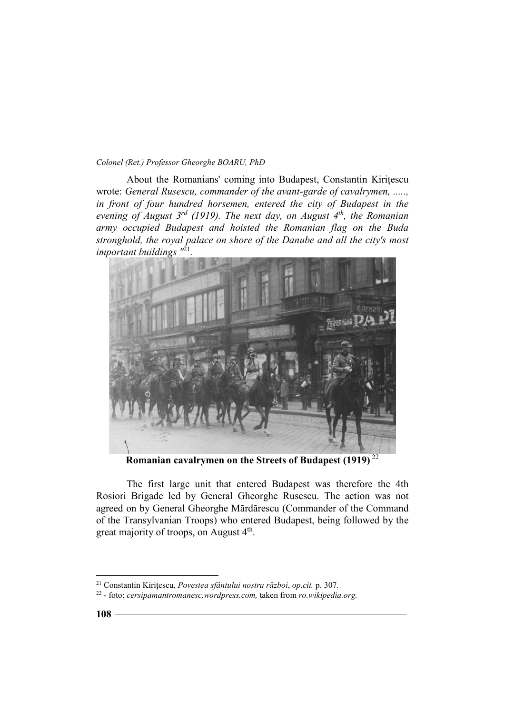About the Romanians' coming into Budapest, Constantin Kirițescu wrote: *General Rusescu, commander of the avant-garde of cavalrymen, ....., in front of four hundred horsemen, entered the city of Budapest in the evening of August 3rd (1919). The next day, on August 4th, the Romanian army occupied Budapest and hoisted the Romanian flag on the Buda stronghold, the royal palace on shore of the Danube and all the city's most important buildings "*<sup>21</sup> *.* 



**Romanian cavalrymen on the Streets of Budapest (1919)**<sup>22</sup>

The first large unit that entered Budapest was therefore the 4th Rosiori Brigade led by General Gheorghe Rusescu. The action was not agreed on by General Gheorghe Mărdărescu (Commander of the Command of the Transylvanian Troops) who entered Budapest, being followed by the great majority of troops, on August 4<sup>th</sup>.

<sup>21</sup> Constantin Kirițescu, *Povestea sfântului nostru război*, *op.cit.* p. 307*.*

<sup>22</sup> - foto: *cersipamantromanesc.wordpress.com,* taken from *ro.wikipedia.org.*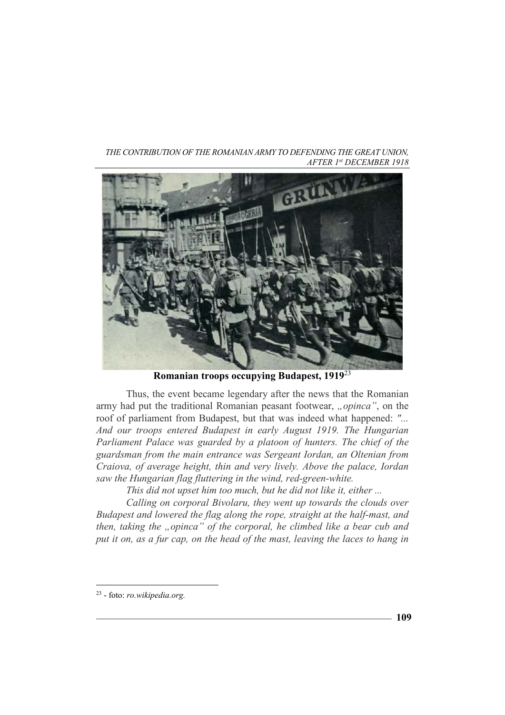*THE CONTRIBUTION OF THE ROMANIAN ARMY TO DEFENDING THE GREAT UNION, AFTER 1st DECEMBER 1918* 



**Romanian troops occupying Budapest, 1919**<sup>23</sup>

Thus, the event became legendary after the news that the Romanian army had put the traditional Romanian peasant footwear, "opinca", on the roof of parliament from Budapest, but that was indeed what happened: *"... And our troops entered Budapest in early August 1919. The Hungarian Parliament Palace was guarded by a platoon of hunters. The chief of the guardsman from the main entrance was Sergeant Iordan, an Oltenian from Craiova, of average height, thin and very lively. Above the palace, Iordan saw the Hungarian flag fluttering in the wind, red-green-white.* 

*This did not upset him too much, but he did not like it, either ...*

*Calling on corporal Bivolaru, they went up towards the clouds over Budapest and lowered the flag along the rope, straight at the half-mast, and then, taking the "opinca" of the corporal, he climbed like a bear cub and put it on, as a fur cap, on the head of the mast, leaving the laces to hang in* 

 $\overline{a}$ 23 - foto: *ro.wikipedia.org.*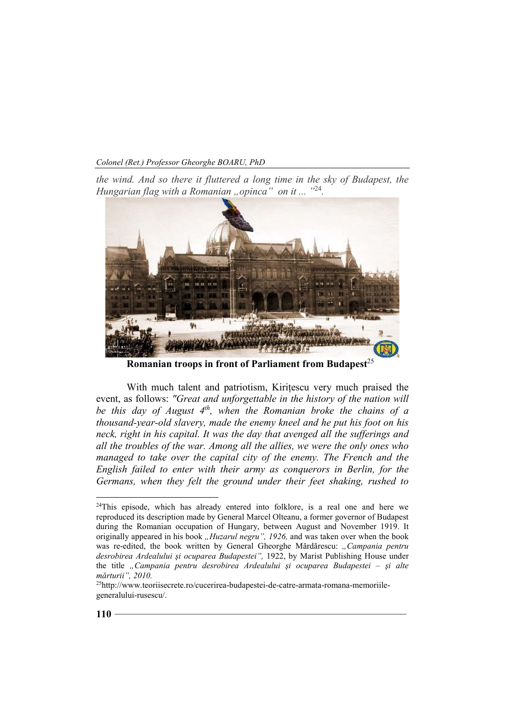*Colonel (Ret.) Professor Gheorghe BOARU, PhD* 

*the wind. And so there it fluttered a long time in the sky of Budapest, the Hungarian flag with a Romanian "opinca*" on it ... "<sup>24</sup>.



**Romanian troops in front of Parliament from Budapest** 25

With much talent and patriotism, Kirițescu very much praised the event, as follows: *"Great and unforgettable in the history of the nation will be this day of August 4th, when the Romanian broke the chains of a thousand-year-old slavery, made the enemy kneel and he put his foot on his neck, right in his capital. It was the day that avenged all the sufferings and all the troubles of the war. Among all the allies, we were the only ones who managed to take over the capital city of the enemy. The French and the English failed to enter with their army as conquerors in Berlin, for the Germans, when they felt the ground under their feet shaking, rushed to* 

 $24$ This episode, which has already entered into folklore, is a real one and here we reproduced its description made by General Marcel Olteanu, a former governor of Budapest during the Romanian occupation of Hungary, between August and November 1919. It originally appeared in his book *..Huzarul negru", 1926*, and was taken over when the book was re-edited, the book written by General Gheorghe Mărdărescu: *"Campania pentru desrobirea Ardealului şi ocuparea Budapestei",* 1922, by Marist Publishing House under the title *"Campania pentru desrobirea Ardealului şi ocuparea Budapestei – şi alte mărturii", 2010.*

<sup>25</sup>http://www.teoriisecrete.ro/cucerirea-budapestei-de-catre-armata-romana-memoriilegeneralului-rusescu/.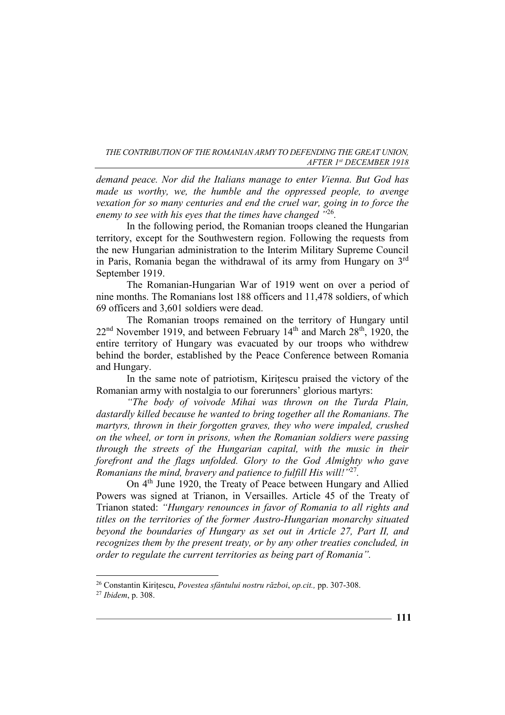*demand peace. Nor did the Italians manage to enter Vienna. But God has made us worthy, we, the humble and the oppressed people, to avenge vexation for so many centuries and end the cruel war, going in to force the enemy to see with his eyes that the times have changed "*<sup>26</sup> *.* 

In the following period, the Romanian troops cleaned the Hungarian territory, except for the Southwestern region. Following the requests from the new Hungarian administration to the Interim Military Supreme Council in Paris, Romania began the withdrawal of its army from Hungary on  $3<sup>rd</sup>$ September 1919.

The Romanian-Hungarian War of 1919 went on over a period of nine months. The Romanians lost 188 officers and 11,478 soldiers, of which 69 officers and 3,601 soldiers were dead.

The Romanian troops remained on the territory of Hungary until  $22<sup>nd</sup>$  November 1919, and between February 14<sup>th</sup> and March  $28<sup>th</sup>$ , 1920, the entire territory of Hungary was evacuated by our troops who withdrew behind the border, established by the Peace Conference between Romania and Hungary.

In the same note of patriotism, Kirițescu praised the victory of the Romanian army with nostalgia to our forerunners' glorious martyrs:

*"The body of voivode Mihai was thrown on the Turda Plain, dastardly killed because he wanted to bring together all the Romanians. The martyrs, thrown in their forgotten graves, they who were impaled, crushed on the wheel, or torn in prisons, when the Romanian soldiers were passing through the streets of the Hungarian capital, with the music in their forefront and the flags unfolded. Glory to the God Almighty who gave Romanians the mind, bravery and patience to fulfill His will!"*<sup>27</sup> *.* 

On 4th June 1920, the Treaty of Peace between Hungary and Allied Powers was signed at Trianon, in Versailles. Article 45 of the Treaty of Trianon stated: *"Hungary renounces in favor of Romania to all rights and titles on the territories of the former Austro-Hungarian monarchy situated beyond the boundaries of Hungary as set out in Article 27, Part II, and recognizes them by the present treaty, or by any other treaties concluded, in order to regulate the current territories as being part of Romania".* 

<sup>26</sup> Constantin Kirițescu, *Povestea sfântului nostru război*, *op.cit.,* pp. 307-308.

<sup>27</sup> *Ibidem*, p. 308.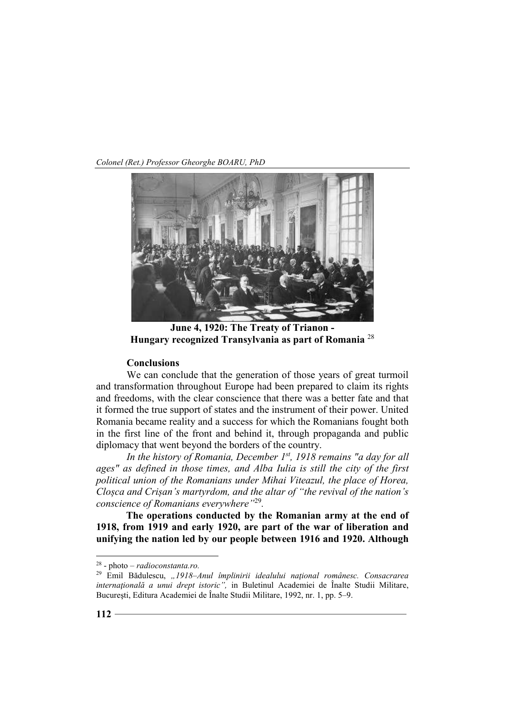*Colonel (Ret.) Professor Gheorghe BOARU, PhD* 



**June 4, 1920: The Treaty of Trianon - Hungary recognized Transylvania as part of Romania** <sup>28</sup>

#### **Conclusions**

We can conclude that the generation of those years of great turmoil and transformation throughout Europe had been prepared to claim its rights and freedoms, with the clear conscience that there was a better fate and that it formed the true support of states and the instrument of their power. United Romania became reality and a success for which the Romanians fought both in the first line of the front and behind it, through propaganda and public diplomacy that went beyond the borders of the country.

*In the history of Romania, December 1st, 1918 remains "a day for all ages" as defined in those times, and Alba Iulia is still the city of the first political union of the Romanians under Mihai Viteazul, the place of Horea, Cloșca and Crișan's martyrdom, and the altar of "the revival of the nation's conscience of Romanians everywhere"*<sup>29</sup> *.* 

**The operations conducted by the Romanian army at the end of 1918, from 1919 and early 1920, are part of the war of liberation and unifying the nation led by our people between 1916 and 1920. Although** 

<sup>28</sup> - photo *– radioconstanta.ro.*

<sup>29</sup> Emil Bădulescu, *"1918–Anul împlinirii idealului naţional românesc. Consacrarea internaţională a unui drept istoric",* in Buletinul Academiei de Înalte Studii Militare, Bucureşti, Editura Academiei de Înalte Studii Militare, 1992, nr. 1, pp. 5–9.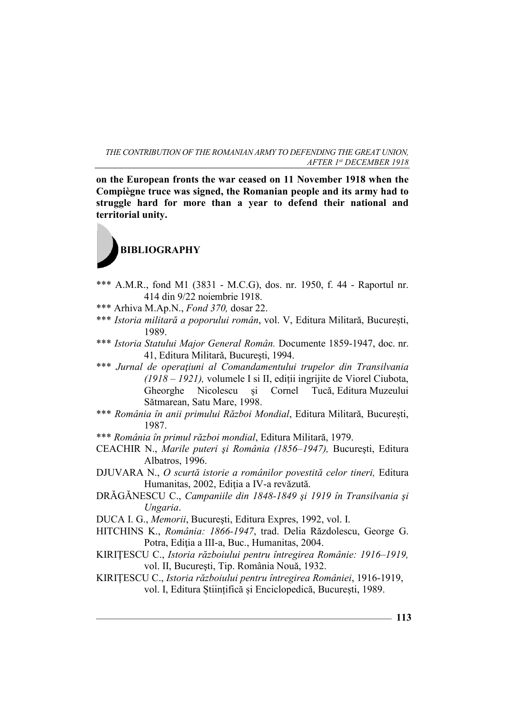**on the European fronts the war ceased on 11 November 1918 when the Compiègne truce was signed, the Romanian people and its army had to struggle hard for more than a year to defend their national and territorial unity.**



- \*\*\* A.M.R., fond M1 (3831 M.C.G), dos. nr. 1950, f. 44 Raportul nr. 414 din 9/22 noiembrie 1918.
- \*\*\* Arhiva M.Ap.N., *Fond 370,* dosar 22.
- \*\*\* *Istoria militară a poporului român*, vol. V, Editura Militară, București, 1989.
- \*\*\* *Istoria Statului Major General Român.* Documente 1859-1947, doc. nr. 41, Editura Militarǎ, Bucureşti, 1994.
- \*\*\* *Jurnal de operaţiuni al Comandamentului trupelor din Transilvania (1918 – 1921),* volumele I si II, ediții ingrijite de Viorel Ciubota, Gheorghe Nicolescu și Cornel Tucă, Editura Muzeului Sătmarean, Satu Mare, 1998.
- \*\*\* *România în anii primului Război Mondial*, Editura Militară, București, 1987.
- \*\*\* *România în primul război mondial*, Editura Militară, 1979.
- CEACHIR N., *Marile puteri şi România (1856–1947),* Bucureşti, Editura Albatros, 1996.
- DJUVARA N., *O scurtă istorie a românilor povestită celor tineri,* Editura Humanitas, 2002, Ediţia a IV-a revăzută.
- DRĂGĂNESCU C., *Campaniile din 1848-1849 şi 1919 în Transilvania şi Ungaria*.
- DUCA I. G., *Memorii*, Bucureşti, Editura Expres, 1992, vol. I.
- HITCHINS K., *România: 1866-1947*, trad. Delia Răzdolescu, George G. Potra, Ediţia a III-a, Buc., Humanitas, 2004.
- KIRIŢESCU C., *Istoria războiului pentru întregirea Românie: 1916–1919,*  vol. II, Bucureşti, Tip. România Nouă, 1932.
- KIRIȚESCU C., *Istoria războiului pentru întregirea României*, 1916-1919, vol. I, Editura Științifică și Enciclopedică, București, 1989.